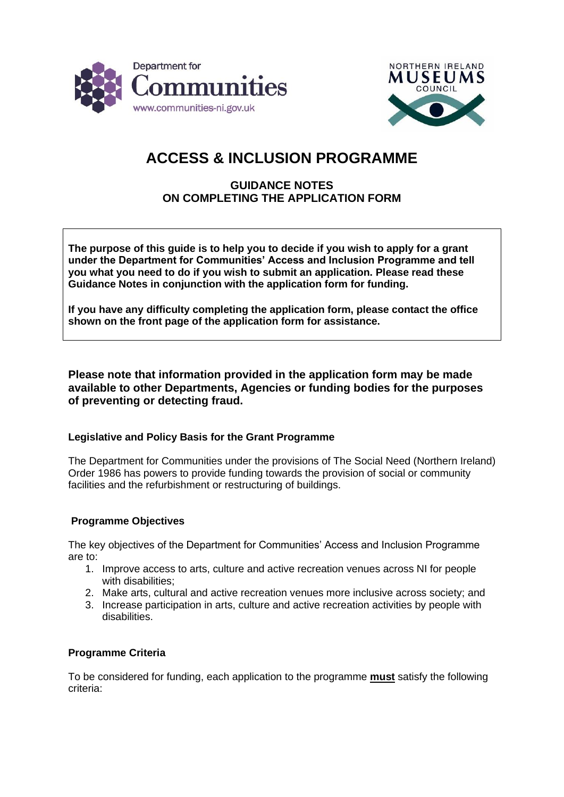



# **ACCESS & INCLUSION PROGRAMME**

### **GUIDANCE NOTES ON COMPLETING THE APPLICATION FORM**

**The purpose of this guide is to help you to decide if you wish to apply for a grant under the Department for Communities' Access and Inclusion Programme and tell you what you need to do if you wish to submit an application. Please read these Guidance Notes in conjunction with the application form for funding.**

**If you have any difficulty completing the application form, please contact the office shown on the front page of the application form for assistance.**

**Please note that information provided in the application form may be made available to other Departments, Agencies or funding bodies for the purposes of preventing or detecting fraud.**

### **Legislative and Policy Basis for the Grant Programme**

The Department for Communities under the provisions of The Social Need (Northern Ireland) Order 1986 has powers to provide funding towards the provision of social or community facilities and the refurbishment or restructuring of buildings.

### **Programme Objectives**

The key objectives of the Department for Communities' Access and Inclusion Programme are to:

- 1. Improve access to arts, culture and active recreation venues across NI for people with disabilities:
- 2. Make arts, cultural and active recreation venues more inclusive across society; and
- 3. Increase participation in arts, culture and active recreation activities by people with disabilities.

#### **Programme Criteria**

To be considered for funding, each application to the programme **must** satisfy the following criteria: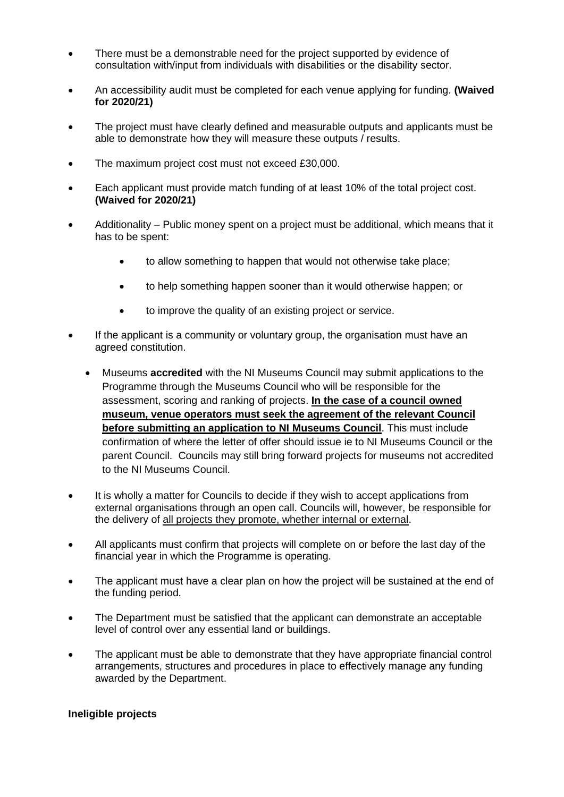- There must be a demonstrable need for the project supported by evidence of consultation with/input from individuals with disabilities or the disability sector.
- An accessibility audit must be completed for each venue applying for funding. **(Waived for 2020/21)**
- The project must have clearly defined and measurable outputs and applicants must be able to demonstrate how they will measure these outputs / results.
- The maximum project cost must not exceed £30,000.
- Each applicant must provide match funding of at least 10% of the total project cost. **(Waived for 2020/21)**
- Additionality Public money spent on a project must be additional, which means that it has to be spent:
	- to allow something to happen that would not otherwise take place;
	- to help something happen sooner than it would otherwise happen; or
	- to improve the quality of an existing project or service.
- If the applicant is a community or voluntary group, the organisation must have an agreed constitution.
	- Museums **accredited** with the NI Museums Council may submit applications to the Programme through the Museums Council who will be responsible for the assessment, scoring and ranking of projects. **In the case of a council owned museum, venue operators must seek the agreement of the relevant Council before submitting an application to NI Museums Council**. This must include confirmation of where the letter of offer should issue ie to NI Museums Council or the parent Council. Councils may still bring forward projects for museums not accredited to the NI Museums Council.
- It is wholly a matter for Councils to decide if they wish to accept applications from external organisations through an open call. Councils will, however, be responsible for the delivery of all projects they promote, whether internal or external.
- All applicants must confirm that projects will complete on or before the last day of the financial year in which the Programme is operating.
- The applicant must have a clear plan on how the project will be sustained at the end of the funding period.
- The Department must be satisfied that the applicant can demonstrate an acceptable level of control over any essential land or buildings.
- The applicant must be able to demonstrate that they have appropriate financial control arrangements, structures and procedures in place to effectively manage any funding awarded by the Department.

#### **Ineligible projects**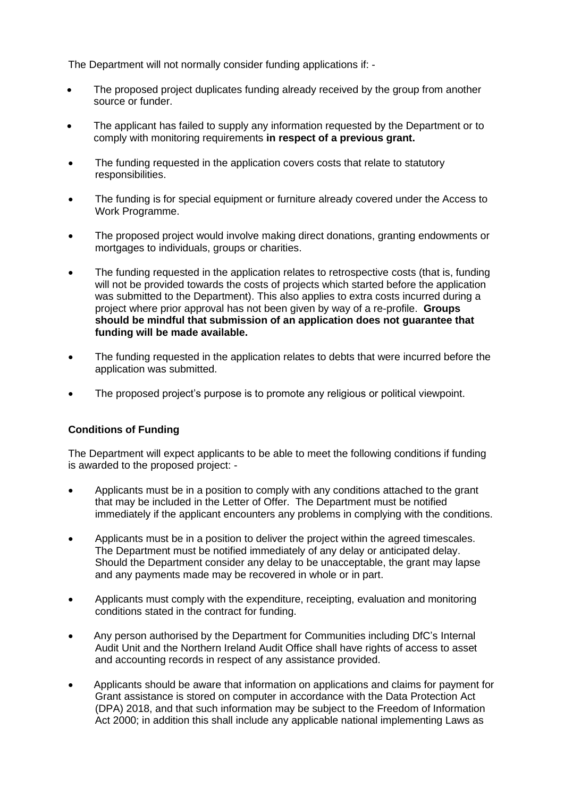The Department will not normally consider funding applications if: -

- The proposed project duplicates funding already received by the group from another source or funder.
- The applicant has failed to supply any information requested by the Department or to comply with monitoring requirements **in respect of a previous grant.**
- The funding requested in the application covers costs that relate to statutory responsibilities.
- The funding is for special equipment or furniture already covered under the Access to Work Programme.
- The proposed project would involve making direct donations, granting endowments or mortgages to individuals, groups or charities.
- The funding requested in the application relates to retrospective costs (that is, funding will not be provided towards the costs of projects which started before the application was submitted to the Department). This also applies to extra costs incurred during a project where prior approval has not been given by way of a re-profile. **Groups should be mindful that submission of an application does not guarantee that funding will be made available.**
- The funding requested in the application relates to debts that were incurred before the application was submitted.
- The proposed project's purpose is to promote any religious or political viewpoint.

### **Conditions of Funding**

The Department will expect applicants to be able to meet the following conditions if funding is awarded to the proposed project: -

- Applicants must be in a position to comply with any conditions attached to the grant that may be included in the Letter of Offer. The Department must be notified immediately if the applicant encounters any problems in complying with the conditions.
- Applicants must be in a position to deliver the project within the agreed timescales. The Department must be notified immediately of any delay or anticipated delay. Should the Department consider any delay to be unacceptable, the grant may lapse and any payments made may be recovered in whole or in part.
- Applicants must comply with the expenditure, receipting, evaluation and monitoring conditions stated in the contract for funding.
- Any person authorised by the Department for Communities including DfC's Internal Audit Unit and the Northern Ireland Audit Office shall have rights of access to asset and accounting records in respect of any assistance provided.
- Applicants should be aware that information on applications and claims for payment for Grant assistance is stored on computer in accordance with the Data Protection Act (DPA) 2018, and that such information may be subject to the Freedom of Information Act 2000; in addition this shall include any applicable national implementing Laws as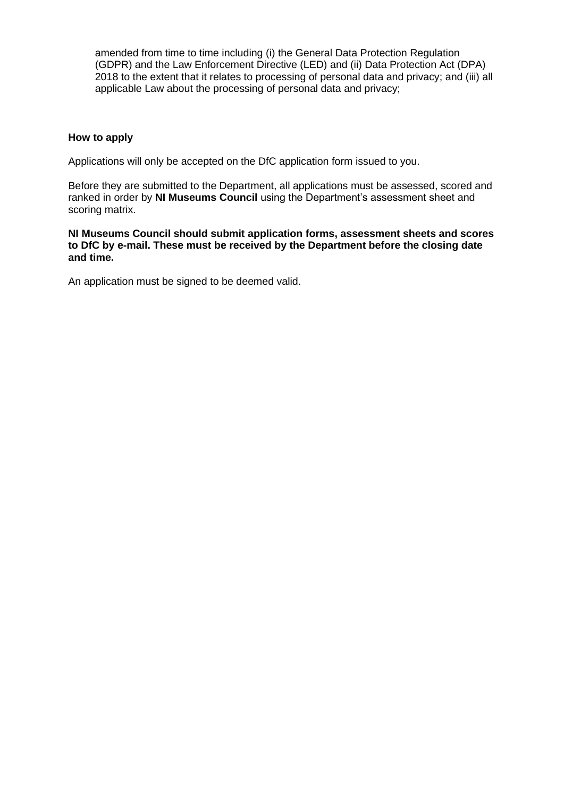amended from time to time including (i) the General Data Protection Regulation (GDPR) and the Law Enforcement Directive (LED) and (ii) Data Protection Act (DPA) 2018 to the extent that it relates to processing of personal data and privacy; and (iii) all applicable Law about the processing of personal data and privacy;

#### **How to apply**

Applications will only be accepted on the DfC application form issued to you.

Before they are submitted to the Department, all applications must be assessed, scored and ranked in order by **NI Museums Council** using the Department's assessment sheet and scoring matrix.

#### **NI Museums Council should submit application forms, assessment sheets and scores to DfC by e-mail. These must be received by the Department before the closing date and time.**

An application must be signed to be deemed valid.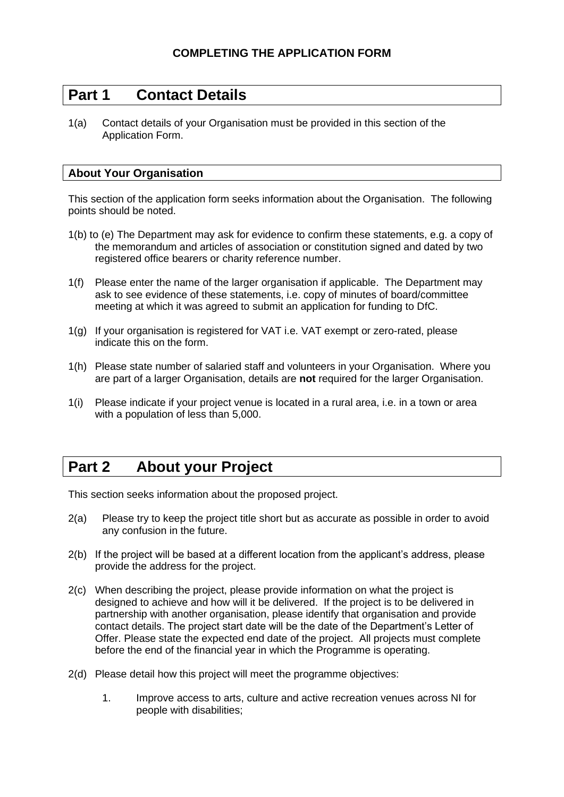## **Part 1 Contact Details**

1(a) Contact details of your Organisation must be provided in this section of the Application Form.

#### **About Your Organisation**

This section of the application form seeks information about the Organisation. The following points should be noted.

- 1(b) to (e) The Department may ask for evidence to confirm these statements, e.g. a copy of the memorandum and articles of association or constitution signed and dated by two registered office bearers or charity reference number.
- 1(f) Please enter the name of the larger organisation if applicable. The Department may ask to see evidence of these statements, i.e. copy of minutes of board/committee meeting at which it was agreed to submit an application for funding to DfC.
- 1(g) If your organisation is registered for VAT i.e. VAT exempt or zero-rated, please indicate this on the form.
- 1(h) Please state number of salaried staff and volunteers in your Organisation. Where you are part of a larger Organisation, details are **not** required for the larger Organisation.
- 1(i) Please indicate if your project venue is located in a rural area, i.e. in a town or area with a population of less than 5,000.

## **Part 2 About your Project**

This section seeks information about the proposed project.

- 2(a) Please try to keep the project title short but as accurate as possible in order to avoid any confusion in the future.
- 2(b) If the project will be based at a different location from the applicant's address, please provide the address for the project.
- 2(c) When describing the project, please provide information on what the project is designed to achieve and how will it be delivered. If the project is to be delivered in partnership with another organisation, please identify that organisation and provide contact details. The project start date will be the date of the Department's Letter of Offer. Please state the expected end date of the project. All projects must complete before the end of the financial year in which the Programme is operating.
- 2(d) Please detail how this project will meet the programme objectives:
	- 1. Improve access to arts, culture and active recreation venues across NI for people with disabilities;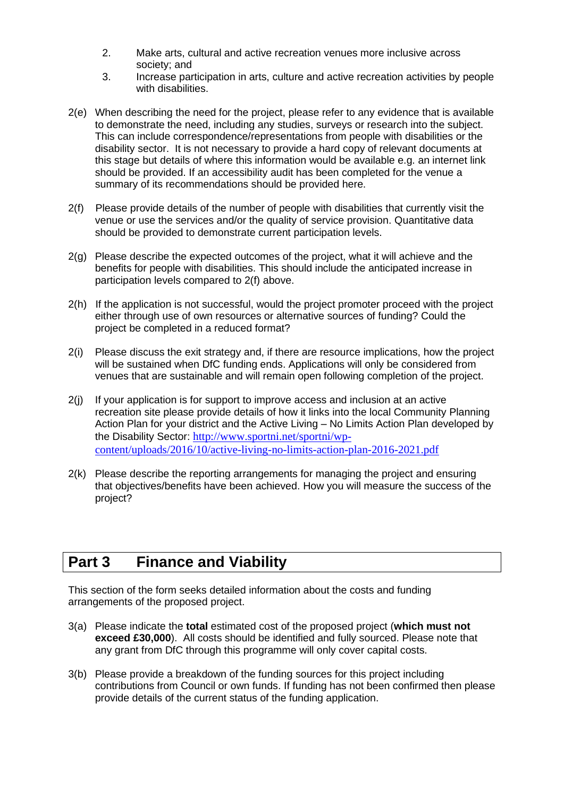- 2. Make arts, cultural and active recreation venues more inclusive across society; and
- 3. Increase participation in arts, culture and active recreation activities by people with disabilities.
- 2(e) When describing the need for the project, please refer to any evidence that is available to demonstrate the need, including any studies, surveys or research into the subject. This can include correspondence/representations from people with disabilities or the disability sector. It is not necessary to provide a hard copy of relevant documents at this stage but details of where this information would be available e.g. an internet link should be provided. If an accessibility audit has been completed for the venue a summary of its recommendations should be provided here.
- 2(f) Please provide details of the number of people with disabilities that currently visit the venue or use the services and/or the quality of service provision. Quantitative data should be provided to demonstrate current participation levels.
- 2(g) Please describe the expected outcomes of the project, what it will achieve and the benefits for people with disabilities. This should include the anticipated increase in participation levels compared to 2(f) above.
- 2(h) If the application is not successful, would the project promoter proceed with the project either through use of own resources or alternative sources of funding? Could the project be completed in a reduced format?
- 2(i) Please discuss the exit strategy and, if there are resource implications, how the project will be sustained when DfC funding ends. Applications will only be considered from venues that are sustainable and will remain open following completion of the project.
- 2(j) If your application is for support to improve access and inclusion at an active recreation site please provide details of how it links into the local Community Planning Action Plan for your district and the Active Living – No Limits Action Plan developed by the Disability Sector: [http://www.sportni.net/sportni/wp](http://www.sportni.net/sportni/wp-content/uploads/2016/10/active-living-no-limits-action-plan-2016-2021.pdf)[content/uploads/2016/10/active-living-no-limits-action-plan-2016-2021.pdf](http://www.sportni.net/sportni/wp-content/uploads/2016/10/active-living-no-limits-action-plan-2016-2021.pdf)
- 2(k) Please describe the reporting arrangements for managing the project and ensuring that objectives/benefits have been achieved. How you will measure the success of the project?

## **Part 3 Finance and Viability**

This section of the form seeks detailed information about the costs and funding arrangements of the proposed project.

- 3(a) Please indicate the **total** estimated cost of the proposed project (**which must not exceed £30,000**). All costs should be identified and fully sourced. Please note that any grant from DfC through this programme will only cover capital costs.
- 3(b) Please provide a breakdown of the funding sources for this project including contributions from Council or own funds. If funding has not been confirmed then please provide details of the current status of the funding application.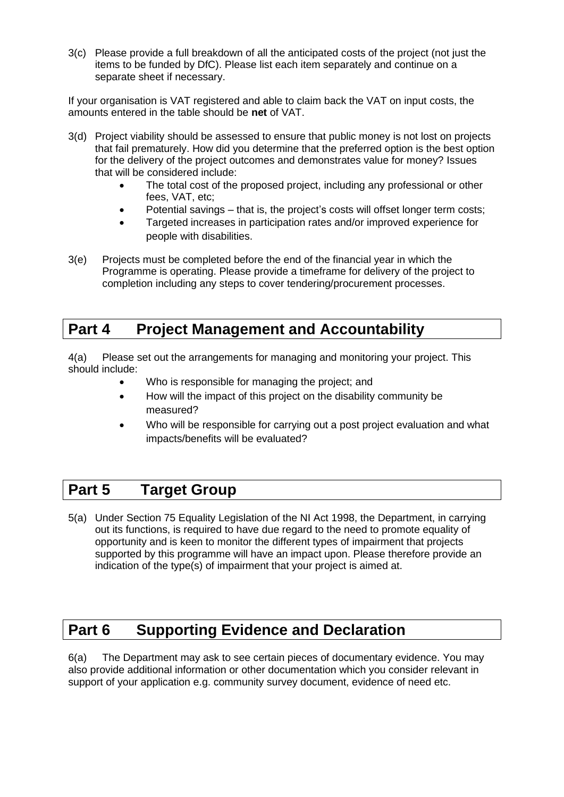3(c) Please provide a full breakdown of all the anticipated costs of the project (not just the items to be funded by DfC). Please list each item separately and continue on a separate sheet if necessary.

If your organisation is VAT registered and able to claim back the VAT on input costs, the amounts entered in the table should be **net** of VAT.

- 3(d) Project viability should be assessed to ensure that public money is not lost on projects that fail prematurely. How did you determine that the preferred option is the best option for the delivery of the project outcomes and demonstrates value for money? Issues that will be considered include:
	- The total cost of the proposed project, including any professional or other fees, VAT, etc;
	- Potential savings that is, the project's costs will offset longer term costs;
	- Targeted increases in participation rates and/or improved experience for people with disabilities.
- 3(e) Projects must be completed before the end of the financial year in which the Programme is operating. Please provide a timeframe for delivery of the project to completion including any steps to cover tendering/procurement processes.

### **Part 4 Project Management and Accountability**

4(a) Please set out the arrangements for managing and monitoring your project. This should include:

- Who is responsible for managing the project; and
- How will the impact of this project on the disability community be measured?
- Who will be responsible for carrying out a post project evaluation and what impacts/benefits will be evaluated?

## **Part 5 Target Group**

5(a) Under Section 75 Equality Legislation of the NI Act 1998, the Department, in carrying out its functions, is required to have due regard to the need to promote equality of opportunity and is keen to monitor the different types of impairment that projects supported by this programme will have an impact upon. Please therefore provide an indication of the type(s) of impairment that your project is aimed at.

# **Part 6 Supporting Evidence and Declaration**

6(a) The Department may ask to see certain pieces of documentary evidence. You may also provide additional information or other documentation which you consider relevant in support of your application e.g. community survey document, evidence of need etc.